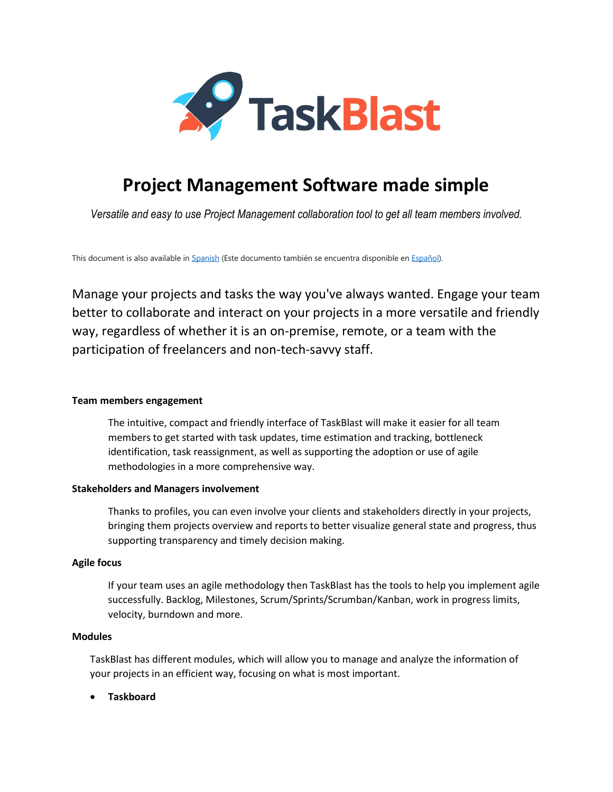

# **Project Management Software made simple**

*Versatile and easy to use Project Management collaboration tool to get all team members involved.*

This document is also available in [Spanish](https://taskblast.com/docs/TaskBlastOverview-es.pdf) (Este documento también se encuentra disponible e[n Español\).](https://taskblast.com/docs/TaskBlastOverview-es.pdf)

Manage your projects and tasks the way you've always wanted. Engage your team better to collaborate and interact on your projects in a more versatile and friendly way, regardless of whether it is an on-premise, remote, or a team with the participation of freelancers and non-tech-savvy staff.

## **Team members engagement**

The intuitive, compact and friendly interface of TaskBlast will make it easier for all team members to get started with task updates, time estimation and tracking, bottleneck identification, task reassignment, as well as supporting the adoption or use of agile methodologies in a more comprehensive way.

#### **Stakeholders and Managers involvement**

Thanks to profiles, you can even involve your clients and stakeholders directly in your projects, bringing them projects overview and reports to better visualize general state and progress, thus supporting transparency and timely decision making.

## **Agile focus**

If your team uses an agile methodology then TaskBlast has the tools to help you implement agile successfully. Backlog, Milestones, Scrum/Sprints/Scrumban/Kanban, work in progress limits, velocity, burndown and more.

#### **Modules**

TaskBlast has different modules, which will allow you to manage and analyze the information of your projects in an efficient way, focusing on what is most important.

• **Taskboard**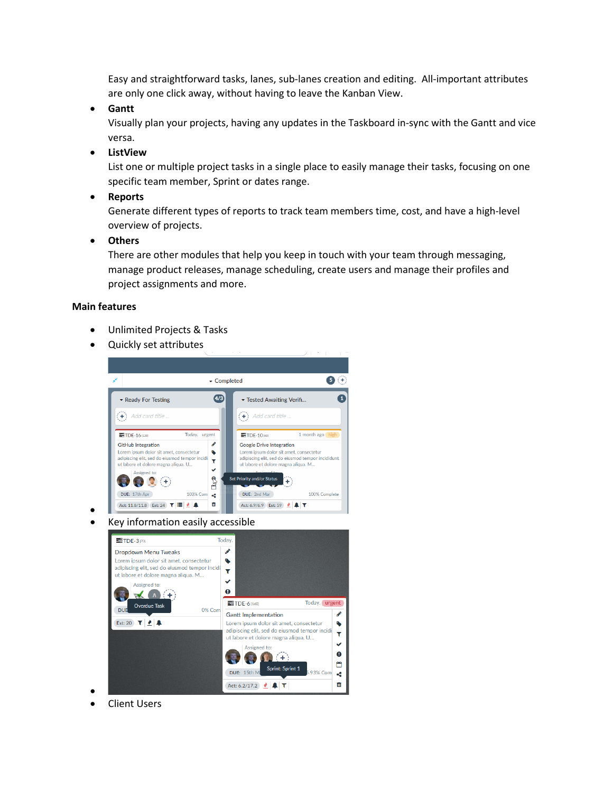Easy and straightforward tasks, lanes, sub-lanes creation and editing. All-important attributes are only one click away, without having to leave the Kanban View.

• **Gantt**

Visually plan your projects, having any updates in the Taskboard in-sync with the Gantt and vice versa.

• **ListView**

List one or multiple project tasks in a single place to easily manage their tasks, focusing on one specific team member, Sprint or dates range.

• **Reports**

Generate different types of reports to track team members time, cost, and have a high-level overview of projects.

• **Others**

There are other modules that help you keep in touch with your team through messaging, manage product releases, manage scheduling, create users and manage their profiles and project assignments and more.

### **Main features**

•

•

- Unlimited Projects & Tasks
- Quickly set attributes



• Key information easily accessible



**Client Users**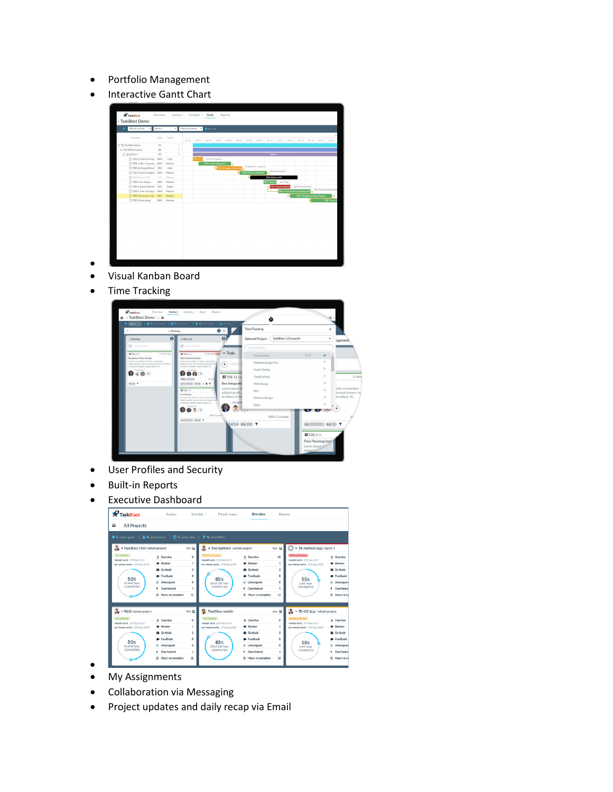- Portfolio Management
- Interactive Gantt Chart



- • Visual Kanban Board
- Time Tracking



- User Profiles and Security
- Built-in Reports
- Executive Dashboard

| <b>P</b> TaskBlast<br>≣<br>All Projects                                                                                                                                                                                                                                      | Kanban                                                                                                                                        |                                                               | Files & Images<br>Schedule v                                                                                                                     | Overview                                                                                                                                     | <b>Reports</b>                                                   |                                                                                                                                                              |                                                                                                                  |
|------------------------------------------------------------------------------------------------------------------------------------------------------------------------------------------------------------------------------------------------------------------------------|-----------------------------------------------------------------------------------------------------------------------------------------------|---------------------------------------------------------------|--------------------------------------------------------------------------------------------------------------------------------------------------|----------------------------------------------------------------------------------------------------------------------------------------------|------------------------------------------------------------------|--------------------------------------------------------------------------------------------------------------------------------------------------------------|------------------------------------------------------------------------------------------------------------------|
| ♦ Q select sprint   & Q select user/s   $\mathbf{\triangle}$ Q select dote   T Q select filters<br>TaskBlast v3.0 / whole project<br>On schedule<br>TARGETOATE: 27th Sep 2017<br><b>RETAINIT DATE: 270-Sep 2017</b><br>50 <sub>%</sub><br>20 of 40 Tasks<br><b>COMPLETED</b> | <b><i>A</i></b> Overdue<br>Q Riocker<br><b>III</b> On Hold<br><b>•</b> Feedback<br>C Unassigned<br>2 Overlooked<br>C Hours to complete        | TB3 ED<br>٥<br>1<br>з<br>o<br>۰<br>1<br>12                    | Test Website /whole project<br>TARGET DATE: 27th Sep 2017<br>EST.TARGET DATE: 27th Sep 2017<br>85%<br>150 of 180 Tasks<br>COMPLETED              | # Overdue<br>Q Blocker<br><b>II</b> On Hold<br><b>•</b> Feedback<br>C Unassigned<br>2 Overlooked<br>C Hours to complete                      | TWS ED<br>10<br>1<br>$\mathbf{3}$<br>o<br>o<br>1<br>12           | TB Android App/Sprint 1<br><b>Behänd schedule</b><br>TARGET DATE: 27th Sep 2017<br>EST.TARGET DATE: 27th Sep 2017<br><b>15%</b><br>2 of 8 Tasks<br>COMPLETED | + Overdue<br>Q Blocker<br><b>II</b> On Hold<br><b>•</b> Feedback<br>C Unassigne<br>? Overlooke<br>C Hours to ce  |
| $RSD$ /whole project<br>On schedule<br>TARGETOATE: 27th Sep 2017<br>EST.TARGET DATE: 27th Sep 2017<br>50%<br>20 of 40 Tasks<br>COMPLETED                                                                                                                                     | <b><i>A</i></b> Overdue<br><b>Q</b> Blocker<br><b>III</b> On Hold<br><b>•</b> Feedback<br>C Unassigned<br>? Overlooked<br>C Hours to complete | RD1 ED<br>$\circ$<br>1<br>$\mathfrak{a}$<br>٥<br>٥<br>1<br>12 | <b>Q</b> TaskBlast mobile<br>On schedule<br>TARGET DATE: 27th Sep 2017<br>EST TARGET DATE: 27th Sep 2017<br>85%<br>150 of 180 Tasks<br>COMPLETED | <b><i>A</i></b> Overdue<br><b>Q</b> Riocker<br><b>II</b> On Hold<br><b>•</b> Feedback<br>C Unassigned<br>? Overlooked<br>C Hours to complete | TRM CD<br>$^{\circ}$<br>٠<br>$\mathfrak{m}$<br>٥<br>٥<br>1<br>12 | TB iOS App / whole project<br>TARGET DATE: 27th Sep 2017<br>EST TARGET DATE: 27th Sep 2017<br><b>15%</b><br>2 of 8 Tasks<br>COMPLETED                        | · Overdue<br>Q Blocker<br><b>II</b> On Hold<br><b>P</b> Feedback<br>C Unassigner<br>? Overlooke<br>O Hours to co |

- My Assignments
- Collaboration via Messaging
- Project updates and daily recap via Email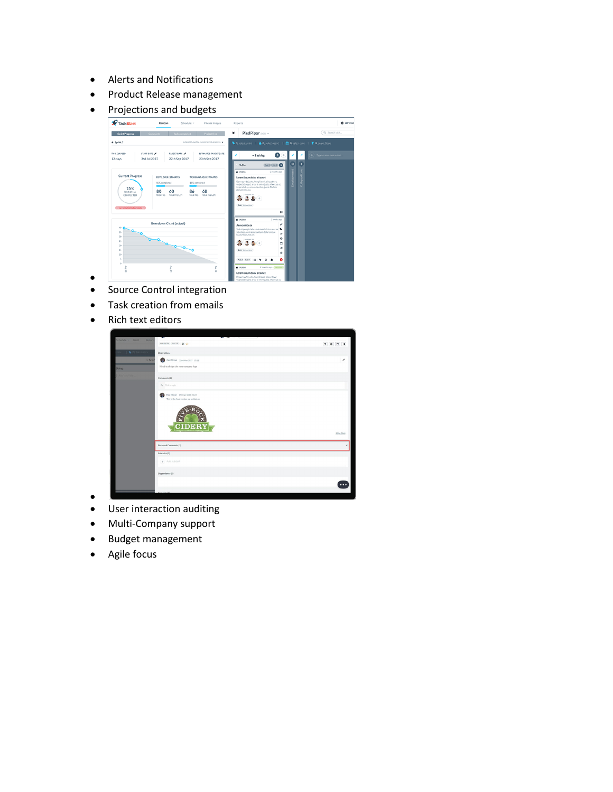- Alerts and Notifications
- Product Release management
- Projections and budgets



- Source Control integration
- Task creation from emails
- Rich text editors

•



- • User interaction auditing
- Multi-Company support
- Budget management
- Agile focus